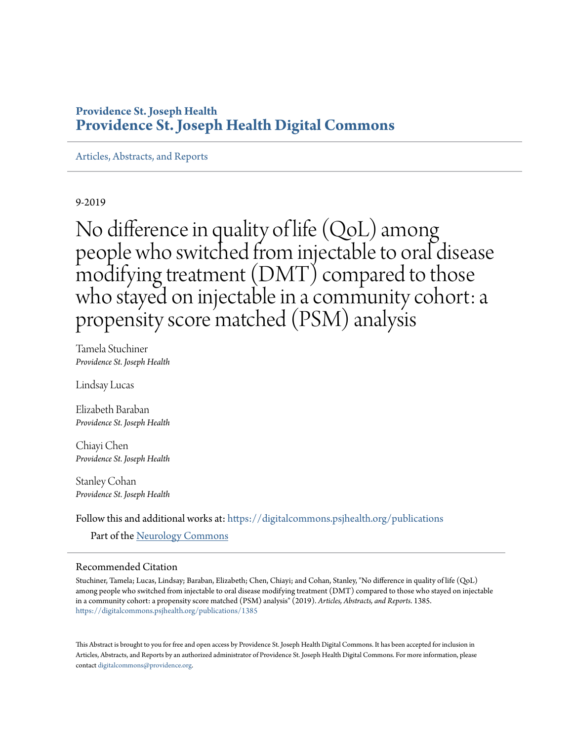## **Providence St. Joseph Health [Providence St. Joseph Health Digital Commons](https://digitalcommons.psjhealth.org?utm_source=digitalcommons.psjhealth.org%2Fpublications%2F1385&utm_medium=PDF&utm_campaign=PDFCoverPages)**

[Articles, Abstracts, and Reports](https://digitalcommons.psjhealth.org/publications?utm_source=digitalcommons.psjhealth.org%2Fpublications%2F1385&utm_medium=PDF&utm_campaign=PDFCoverPages)

9-2019

No difference in quality of life (QoL) among people who switched from injectable to oral disease modifying treatment (DMT) compared to those who stayed on injectable in a community cohort: a propensity score matched (PSM) analysis

Tamela Stuchiner *Providence St. Joseph Health*

Lindsay Lucas

Elizabeth Baraban *Providence St. Joseph Health*

Chiayi Chen *Providence St. Joseph Health*

Stanley Cohan *Providence St. Joseph Health*

Follow this and additional works at: [https://digitalcommons.psjhealth.org/publications](https://digitalcommons.psjhealth.org/publications?utm_source=digitalcommons.psjhealth.org%2Fpublications%2F1385&utm_medium=PDF&utm_campaign=PDFCoverPages)

Part of the [Neurology Commons](http://network.bepress.com/hgg/discipline/692?utm_source=digitalcommons.psjhealth.org%2Fpublications%2F1385&utm_medium=PDF&utm_campaign=PDFCoverPages)

## Recommended Citation

Stuchiner, Tamela; Lucas, Lindsay; Baraban, Elizabeth; Chen, Chiayi; and Cohan, Stanley, "No difference in quality of life (QoL) among people who switched from injectable to oral disease modifying treatment (DMT) compared to those who stayed on injectable in a community cohort: a propensity score matched (PSM) analysis" (2019). *Articles, Abstracts, and Reports*. 1385. [https://digitalcommons.psjhealth.org/publications/1385](https://digitalcommons.psjhealth.org/publications/1385?utm_source=digitalcommons.psjhealth.org%2Fpublications%2F1385&utm_medium=PDF&utm_campaign=PDFCoverPages)

This Abstract is brought to you for free and open access by Providence St. Joseph Health Digital Commons. It has been accepted for inclusion in Articles, Abstracts, and Reports by an authorized administrator of Providence St. Joseph Health Digital Commons. For more information, please contact [digitalcommons@providence.org.](mailto:digitalcommons@providence.org)